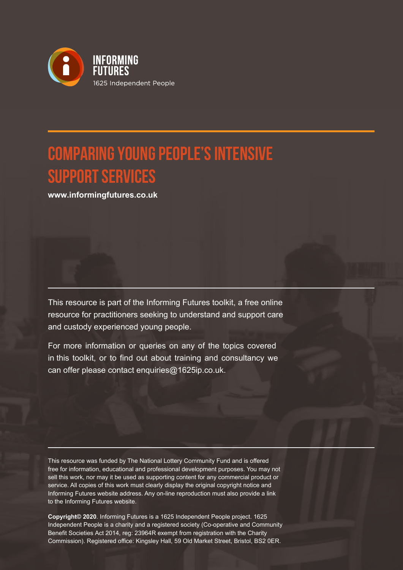

# **Comparing Young People's Intensive Support Services**

**www.informingfutures.co.uk**

This resource is part of the Informing Futures toolkit, a free online resource for practitioners seeking to understand and support care and custody experienced young people.

For more information or queries on any of the topics covered in this toolkit, or to find out about training and consultancy we can offer please contact enquiries@1625ip.co.uk.

This resource was funded by The National Lottery Community Fund and is offered free for information, educational and professional development purposes. You may not sell this work, nor may it be used as supporting content for any commercial product or service. All copies of this work must clearly display the original copyright notice and Informing Futures website address. Any on-line reproduction must also provide a link to the Informing Futures website.

**Copyright© 2020**. Informing Futures is a 1625 Independent People project. 1625 Independent People is a charity and a registered society (Co-operative and Community Benefit Societies Act 2014, reg: 23964R exempt from registration with the Charity Commission). Registered office: Kingsley Hall, 59 Old Market Street, Bristol, BS2 0ER.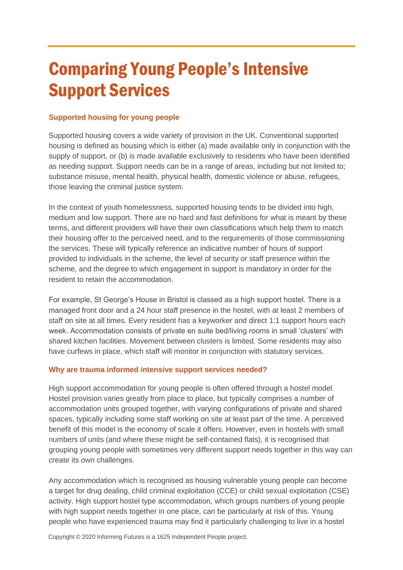# Comparing Young People's Intensive Support Services

# **Supported housing for young people**

Supported housing covers a wide variety of provision in the UK. Conventional supported housing is defined as housing which is either (a) made available only in conjunction with the supply of support, or (b) is made available exclusively to residents who have been identified as needing support. Support needs can be in a range of areas, including but not limited to; substance misuse, mental health, physical health, domestic violence or abuse, refugees, those leaving the criminal justice system.

In the context of youth homelessness, supported housing tends to be divided into high, medium and low support. There are no hard and fast definitions for what is meant by these terms, and different providers will have their own classifications which help them to match their housing offer to the perceived need, and to the requirements of those commissioning the services. These will typically reference an indicative number of hours of support provided to individuals in the scheme, the level of security or staff presence within the scheme, and the degree to which engagement in support is mandatory in order for the resident to retain the accommodation.

For example, St George's House in Bristol is classed as a high support hostel. There is a managed front door and a 24 hour staff presence in the hostel, with at least 2 members of staff on site at all times. Every resident has a keyworker and direct 1:1 support hours each week. Accommodation consists of private en suite bed/living rooms in small 'clusters' with shared kitchen facilities. Movement between clusters is limited. Some residents may also have curfews in place, which staff will monitor in conjunction with statutory services.

# **Why are trauma informed intensive support services needed?**

High support accommodation for young people is often offered through a hostel model. Hostel provision varies greatly from place to place, but typically comprises a number of accommodation units grouped together, with varying configurations of private and shared spaces, typically including some staff working on site at least part of the time. A perceived benefit of this model is the economy of scale it offers. However, even in hostels with small numbers of units (and where these might be self-contained flats), it is recognised that grouping young people with sometimes very different support needs together in this way can create its own challenges.

Any accommodation which is recognised as housing vulnerable young people can become a target for drug dealing, child criminal exploitation (CCE) or child sexual exploitation (CSE) activity. High support hostel type accommodation, which groups numbers of young people with high support needs together in one place, can be particularly at risk of this. Young people who have experienced trauma may find it particularly challenging to live in a hostel

Copyright © 2020 Informing Futures is a 1625 Independent People project.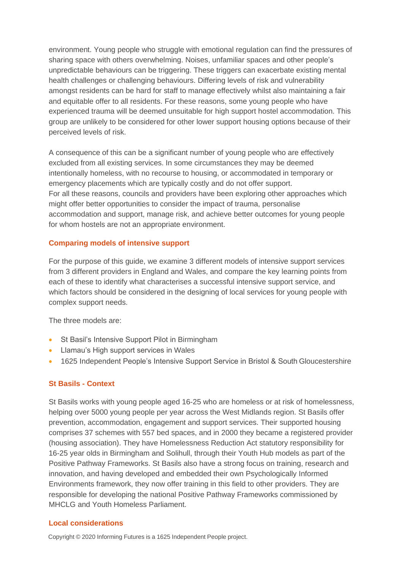environment. Young people who struggle with emotional regulation can find the pressures of sharing space with others overwhelming. Noises, unfamiliar spaces and other people's unpredictable behaviours can be triggering. These triggers can exacerbate existing mental health challenges or challenging behaviours. Differing levels of risk and vulnerability amongst residents can be hard for staff to manage effectively whilst also maintaining a fair and equitable offer to all residents. For these reasons, some young people who have experienced trauma will be deemed unsuitable for high support hostel accommodation. This group are unlikely to be considered for other lower support housing options because of their perceived levels of risk.

A consequence of this can be a significant number of young people who are effectively excluded from all existing services. In some circumstances they may be deemed intentionally homeless, with no recourse to housing, or accommodated in temporary or emergency placements which are typically costly and do not offer support. For all these reasons, councils and providers have been exploring other approaches which might offer better opportunities to consider the impact of trauma, personalise accommodation and support, manage risk, and achieve better outcomes for young people for whom hostels are not an appropriate environment.

# **Comparing models of intensive support**

For the purpose of this guide, we examine 3 different models of intensive support services from 3 different providers in England and Wales, and compare the key learning points from each of these to identify what characterises a successful intensive support service, and which factors should be considered in the designing of local services for young people with complex support needs.

The three models are:

- St Basil's Intensive Support Pilot in Birmingham
- Llamau's High support services in Wales
- 1625 Independent People's Intensive Support Service in Bristol & South Gloucestershire

## **St Basils - Context**

St Basils works with young people aged 16-25 who are homeless or at risk of homelessness, helping over 5000 young people per year across the West Midlands region. St Basils offer prevention, accommodation, engagement and support services. Their supported housing comprises 37 schemes with 557 bed spaces, and in 2000 they became a registered provider (housing association). They have Homelessness Reduction Act statutory responsibility for 16-25 year olds in Birmingham and Solihull, through their Youth Hub models as part of the Positive Pathway Frameworks. St Basils also have a strong focus on training, research and innovation, and having developed and embedded their own Psychologically Informed Environments framework, they now offer training in this field to other providers. They are responsible for developing the national Positive Pathway Frameworks commissioned by MHCLG and Youth Homeless Parliament.

## **Local considerations**

Copyright © 2020 Informing Futures is a 1625 Independent People project.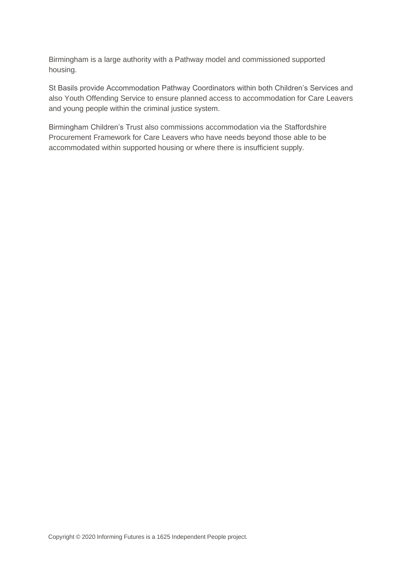Birmingham is a large authority with a Pathway model and commissioned supported housing.

St Basils provide Accommodation Pathway Coordinators within both Children's Services and also Youth Offending Service to ensure planned access to accommodation for Care Leavers and young people within the criminal justice system.

Birmingham Children's Trust also commissions accommodation via the Staffordshire Procurement Framework for Care Leavers who have needs beyond those able to be accommodated within supported housing or where there is insufficient supply.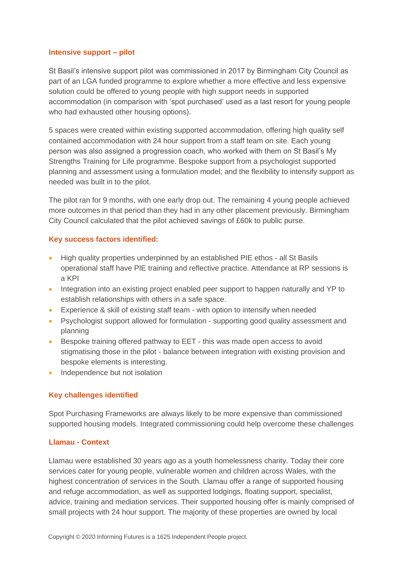#### **Intensive support – pilot**

St Basil's intensive support pilot was commissioned in 2017 by Birmingham City Council as part of an LGA funded programme to explore whether a more effective and less expensive solution could be offered to young people with high support needs in supported accommodation (in comparison with 'spot purchased' used as a last resort for young people who had exhausted other housing options).

5 spaces were created within existing supported accommodation, offering high quality self contained accommodation with 24 hour support from a staff team on site. Each young person was also assigned a progression coach, who worked with them on St Basil's My Strengths Training for Life programme. Bespoke support from a psychologist supported planning and assessment using a formulation model; and the flexibility to intensify support as needed was built in to the pilot.

The pilot ran for 9 months, with one early drop out. The remaining 4 young people achieved more outcomes in that period than they had in any other placement previously. Birmingham City Council calculated that the pilot achieved savings of £60k to public purse.

## **Key success factors identified:**

- High quality properties underpinned by an established PIE ethos all St Basils operational staff have PIE training and reflective practice. Attendance at RP sessions is a KPI
- Integration into an existing project enabled peer support to happen naturally and YP to establish relationships with others in a safe space.
- Experience & skill of existing staff team with option to intensify when needed
- Psychologist support allowed for formulation supporting good quality assessment and planning
- Bespoke training offered pathway to EET this was made open access to avoid stigmatising those in the pilot - balance between integration with existing provision and bespoke elements is interesting.
- Independence but not isolation

## **Key challenges identified**

Spot Purchasing Frameworks are always likely to be more expensive than commissioned supported housing models. Integrated commissioning could help overcome these challenges

#### **Llamau - Context**

Llamau were established 30 years ago as a youth homelessness charity. Today their core services cater for young people, vulnerable women and children across Wales, with the highest concentration of services in the South. Llamau offer a range of supported housing and refuge accommodation, as well as supported lodgings, floating support, specialist, advice, training and mediation services. Their supported housing offer is mainly comprised of small projects with 24 hour support. The majority of these properties are owned by local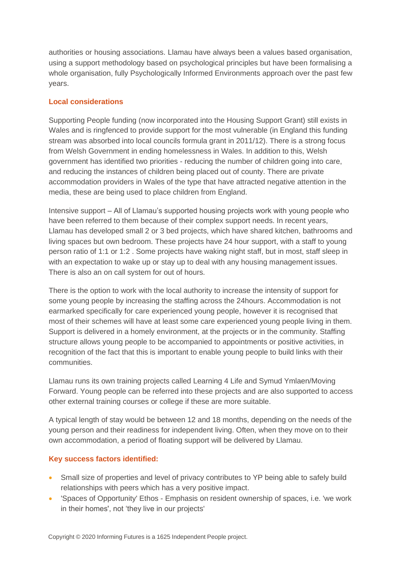authorities or housing associations. Llamau have always been a values based organisation, using a support methodology based on psychological principles but have been formalising a whole organisation, fully Psychologically Informed Environments approach over the past few years.

# **Local considerations**

Supporting People funding (now incorporated into the Housing Support Grant) still exists in Wales and is ringfenced to provide support for the most vulnerable (in England this funding stream was absorbed into local councils formula grant in 2011/12). There is a strong focus from Welsh Government in ending homelessness in Wales. In addition to this, Welsh government has identified two priorities - reducing the number of children going into care, and reducing the instances of children being placed out of county. There are private accommodation providers in Wales of the type that have attracted negative attention in the media, these are being used to place children from England.

Intensive support – All of Llamau's supported housing projects work with young people who have been referred to them because of their complex support needs. In recent years, Llamau has developed small 2 or 3 bed projects, which have shared kitchen, bathrooms and living spaces but own bedroom. These projects have 24 hour support, with a staff to young person ratio of 1:1 or 1:2 . Some projects have waking night staff, but in most, staff sleep in with an expectation to wake up or stay up to deal with any housing management issues. There is also an on call system for out of hours.

There is the option to work with the local authority to increase the intensity of support for some young people by increasing the staffing across the 24hours. Accommodation is not earmarked specifically for care experienced young people, however it is recognised that most of their schemes will have at least some care experienced young people living in them. Support is delivered in a homely environment, at the projects or in the community. Staffing structure allows young people to be accompanied to appointments or positive activities, in recognition of the fact that this is important to enable young people to build links with their communities.

Llamau runs its own training projects called Learning 4 Life and Symud Ymlaen/Moving Forward. Young people can be referred into these projects and are also supported to access other external training courses or college if these are more suitable.

A typical length of stay would be between 12 and 18 months, depending on the needs of the young person and their readiness for independent living. Often, when they move on to their own accommodation, a period of floating support will be delivered by Llamau.

# **Key success factors identified:**

- Small size of properties and level of privacy contributes to YP being able to safely build relationships with peers which has a very positive impact.
- 'Spaces of Opportunity' Ethos Emphasis on resident ownership of spaces, i.e. 'we work in their homes', not 'they live in our projects'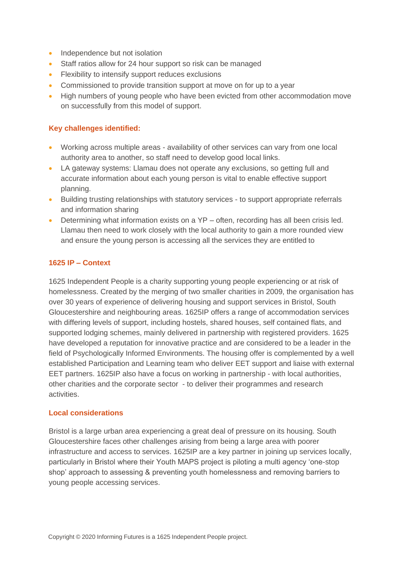- Independence but not isolation
- Staff ratios allow for 24 hour support so risk can be managed
- Flexibility to intensify support reduces exclusions
- Commissioned to provide transition support at move on for up to a year
- High numbers of young people who have been evicted from other accommodation move on successfully from this model of support.

## **Key challenges identified:**

- Working across multiple areas availability of other services can vary from one local authority area to another, so staff need to develop good local links.
- LA gateway systems: Llamau does not operate any exclusions, so getting full and accurate information about each young person is vital to enable effective support planning.
- Building trusting relationships with statutory services to support appropriate referrals and information sharing
- Determining what information exists on a YP often, recording has all been crisis led. Llamau then need to work closely with the local authority to gain a more rounded view and ensure the young person is accessing all the services they are entitled to

## **1625 IP – Context**

1625 Independent People is a charity supporting young people experiencing or at risk of homelessness. Created by the merging of two smaller charities in 2009, the organisation has over 30 years of experience of delivering housing and support services in Bristol, South Gloucestershire and neighbouring areas. 1625IP offers a range of accommodation services with differing levels of support, including hostels, shared houses, self contained flats, and supported lodging schemes, mainly delivered in partnership with registered providers. 1625 have developed a reputation for innovative practice and are considered to be a leader in the field of Psychologically Informed Environments. The housing offer is complemented by a well established Participation and Learning team who deliver EET support and liaise with external EET partners. 1625IP also have a focus on working in partnership - with local authorities, other charities and the corporate sector - to deliver their programmes and research activities.

## **Local considerations**

Bristol is a large urban area experiencing a great deal of pressure on its housing. South Gloucestershire faces other challenges arising from being a large area with poorer infrastructure and access to services. 1625IP are a key partner in joining up services locally, particularly in Bristol where their Youth MAPS project is piloting a multi agency 'one-stop shop' approach to assessing & preventing youth homelessness and removing barriers to young people accessing services.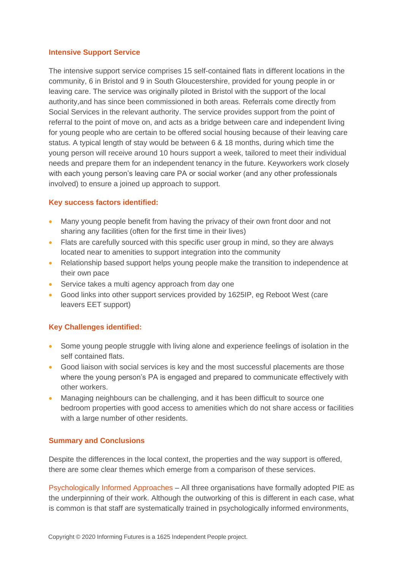#### **Intensive Support Service**

The intensive support service comprises 15 self-contained flats in different locations in the community, 6 in Bristol and 9 in South Gloucestershire, provided for young people in or leaving care. The service was originally piloted in Bristol with the support of the local authority,and has since been commissioned in both areas. Referrals come directly from Social Services in the relevant authority. The service provides support from the point of referral to the point of move on, and acts as a bridge between care and independent living for young people who are certain to be offered social housing because of their leaving care status. A typical length of stay would be between 6 & 18 months, during which time the young person will receive around 10 hours support a week, tailored to meet their individual needs and prepare them for an independent tenancy in the future. Keyworkers work closely with each young person's leaving care PA or social worker (and any other professionals involved) to ensure a joined up approach to support.

## **Key success factors identified:**

- Many young people benefit from having the privacy of their own front door and not sharing any facilities (often for the first time in their lives)
- Flats are carefully sourced with this specific user group in mind, so they are always located near to amenities to support integration into the community
- Relationship based support helps young people make the transition to independence at their own pace
- Service takes a multi agency approach from day one
- Good links into other support services provided by 1625IP, eg Reboot West (care leavers EET support)

# **Key Challenges identified:**

- Some young people struggle with living alone and experience feelings of isolation in the self contained flats.
- Good liaison with social services is key and the most successful placements are those where the young person's PA is engaged and prepared to communicate effectively with other workers.
- Managing neighbours can be challenging, and it has been difficult to source one bedroom properties with good access to amenities which do not share access or facilities with a large number of other residents.

# **Summary and Conclusions**

Despite the differences in the local context, the properties and the way support is offered, there are some clear themes which emerge from a comparison of these services.

Psychologically Informed Approaches – All three organisations have formally adopted PIE as the underpinning of their work. Although the outworking of this is different in each case, what is common is that staff are systematically trained in psychologically informed environments,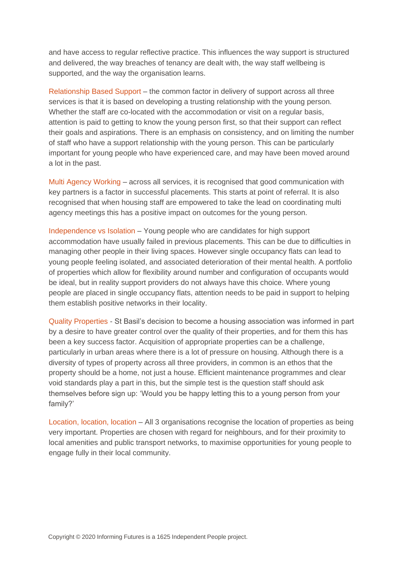and have access to regular reflective practice. This influences the way support is structured and delivered, the way breaches of tenancy are dealt with, the way staff wellbeing is supported, and the way the organisation learns.

Relationship Based Support – the common factor in delivery of support across all three services is that it is based on developing a trusting relationship with the young person. Whether the staff are co-located with the accommodation or visit on a regular basis, attention is paid to getting to know the young person first, so that their support can reflect their goals and aspirations. There is an emphasis on consistency, and on limiting the number of staff who have a support relationship with the young person. This can be particularly important for young people who have experienced care, and may have been moved around a lot in the past.

Multi Agency Working – across all services, it is recognised that good communication with key partners is a factor in successful placements. This starts at point of referral. It is also recognised that when housing staff are empowered to take the lead on coordinating multi agency meetings this has a positive impact on outcomes for the young person.

Independence vs Isolation – Young people who are candidates for high support accommodation have usually failed in previous placements. This can be due to difficulties in managing other people in their living spaces. However single occupancy flats can lead to young people feeling isolated, and associated deterioration of their mental health. A portfolio of properties which allow for flexibility around number and configuration of occupants would be ideal, but in reality support providers do not always have this choice. Where young people are placed in single occupancy flats, attention needs to be paid in support to helping them establish positive networks in their locality.

Quality Properties - St Basil's decision to become a housing association was informed in part by a desire to have greater control over the quality of their properties, and for them this has been a key success factor. Acquisition of appropriate properties can be a challenge, particularly in urban areas where there is a lot of pressure on housing. Although there is a diversity of types of property across all three providers, in common is an ethos that the property should be a home, not just a house. Efficient maintenance programmes and clear void standards play a part in this, but the simple test is the question staff should ask themselves before sign up: 'Would you be happy letting this to a young person from your family?'

Location, location, location – All 3 organisations recognise the location of properties as being very important. Properties are chosen with regard for neighbours, and for their proximity to local amenities and public transport networks, to maximise opportunities for young people to engage fully in their local community.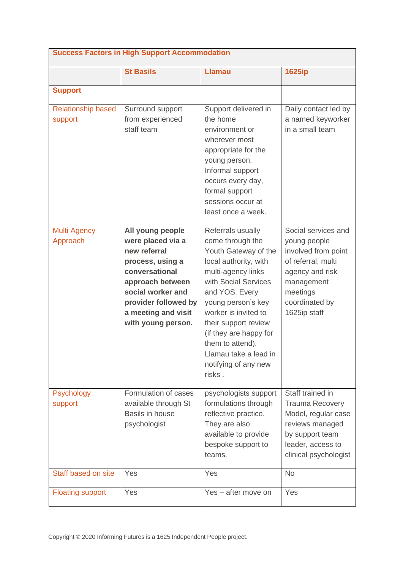| <b>Success Factors in High Support Accommodation</b> |                                                                                                                                                                                                           |                                                                                                                                                                                                                                                                                                                                       |                                                                                                                                                                 |  |
|------------------------------------------------------|-----------------------------------------------------------------------------------------------------------------------------------------------------------------------------------------------------------|---------------------------------------------------------------------------------------------------------------------------------------------------------------------------------------------------------------------------------------------------------------------------------------------------------------------------------------|-----------------------------------------------------------------------------------------------------------------------------------------------------------------|--|
|                                                      | <b>St Basils</b>                                                                                                                                                                                          | <b>Llamau</b>                                                                                                                                                                                                                                                                                                                         | <b>1625ip</b>                                                                                                                                                   |  |
| <b>Support</b>                                       |                                                                                                                                                                                                           |                                                                                                                                                                                                                                                                                                                                       |                                                                                                                                                                 |  |
| <b>Relationship based</b><br>support                 | Surround support<br>from experienced<br>staff team                                                                                                                                                        | Support delivered in<br>the home<br>environment or<br>wherever most<br>appropriate for the<br>young person.<br>Informal support<br>occurs every day,<br>formal support<br>sessions occur at<br>least once a week.                                                                                                                     | Daily contact led by<br>a named keyworker<br>in a small team                                                                                                    |  |
| <b>Multi Agency</b><br>Approach                      | All young people<br>were placed via a<br>new referral<br>process, using a<br>conversational<br>approach between<br>social worker and<br>provider followed by<br>a meeting and visit<br>with young person. | Referrals usually<br>come through the<br>Youth Gateway of the<br>local authority, with<br>multi-agency links<br>with Social Services<br>and YOS. Every<br>young person's key<br>worker is invited to<br>their support review<br>(if they are happy for<br>them to attend).<br>Llamau take a lead in<br>notifying of any new<br>risks. | Social services and<br>young people<br>involved from point<br>of referral, multi<br>agency and risk<br>management<br>meetings<br>coordinated by<br>1625ip staff |  |
| Psychology<br>support                                | Formulation of cases<br>available through St<br>Basils in house<br>psychologist                                                                                                                           | psychologists support<br>formulations through<br>reflective practice.<br>They are also<br>available to provide<br>bespoke support to<br>teams.                                                                                                                                                                                        | Staff trained in<br><b>Trauma Recovery</b><br>Model, regular case<br>reviews managed<br>by support team<br>leader, access to<br>clinical psychologist           |  |
| Staff based on site                                  | Yes                                                                                                                                                                                                       | Yes                                                                                                                                                                                                                                                                                                                                   | <b>No</b>                                                                                                                                                       |  |
| <b>Floating support</b>                              | Yes                                                                                                                                                                                                       | Yes - after move on                                                                                                                                                                                                                                                                                                                   | Yes                                                                                                                                                             |  |